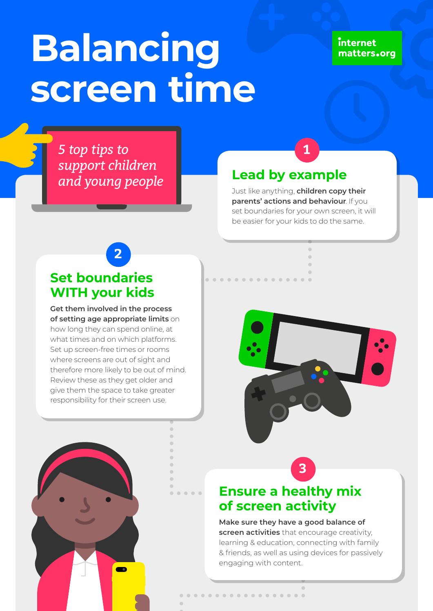# **Balancing screen time**

#### internet matters.org

*5 top tips to support children and young people* **Lead by example**

Just like anything, **children copy their parents' actions and behaviour**. If you set boundaries for your own screen, it will be easier for your kids to do the same.

**1**



**Get them involved in the process of setting age appropriate limits** on how long they can spend online, at what times and on which platforms. Set up screen-free times or rooms where screens are out of sight and therefore more likely to be out of mind. Review these as they get older and give them the space to take greater responsibility for their screen use.





 $\sqrt{2}$ 

### **Ensure a healthy mix of screen activity**

**.................** 

**Make sure they have a good balance of screen activities** that encourage creativity, learning & education, connecting with family & friends, as well as using devices for passively engaging with content.

**3**